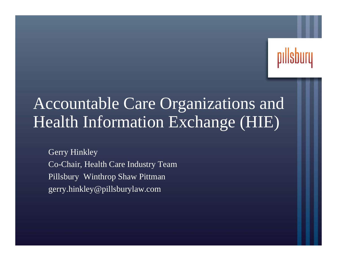

# Accountable Care Organizations and Health Information Exchange (HIE)

Gerry Hinkley Co-Chair, Health Care Industry Team Pillsbury Winthrop Shaw Pittman gerry.hinkley@pillsburylaw.com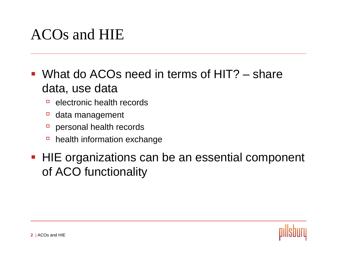# ACOs and HIE

#### ■ What do ACOs need in terms of HIT? – share data, use data

- $\Box$ electronic health records
- àdata management
- àpersonal health records
- $\Box$ health information exchange

#### ■ HIE organizations can be an essential component of ACO functionality

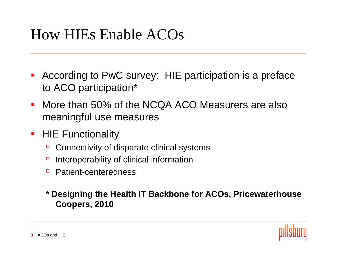## How HIEs Enable ACOs

- **According to PwC survey: HIE participation is a preface** to ACO participation\*
- $\mathcal{L}_{\mathcal{A}}$  More than 50% of the NCQA ACO Measurers are also meaningful use measures
- $\mathcal{L}_{\mathcal{A}}$  HIE Functionality
	- àConnectivity of disparate clinical systems
	- àInteroperability of clinical information
	- àPatient-centeredness
	- **\* Designing the Health IT Backbone for ACOs, Pricewaterhouse Coopers, 2010**

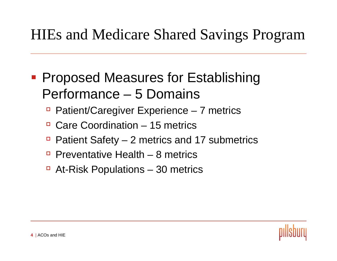# HIEs and Medicare Shared Savings Program

- **Proposed Measures for Establishing** Performance – 5 Domains
	- àPatient/Caregiver Experience – 7 metrics
	- □ Care Coordination 15 metrics
	- àPatient Safety – 2 metrics and 17 submetrics
	- □ Preventative Health 8 metrics
	- □ At-Risk Populations 30 metrics

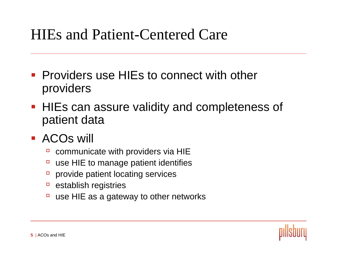#### HIEs and Patient-Centered Care

- **Providers use HIEs to connect with other** providers
- **HIEs can assure validity and completeness of** patient data
- **ACOs will** 
	- àcommunicate with providers via HIE
	- àuse HIE to manage patient identifies
	- àprovide patient locating services
	- àestablish registries
	- àuse HIE as a gateway to other networks

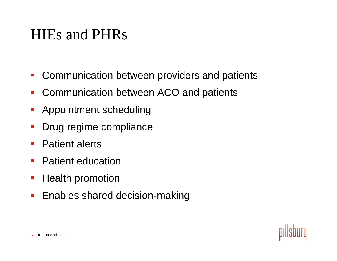## HIEs and PHRs

- $\mathcal{L}_{\mathcal{A}}$ Communication between providers and patients
- $\overline{\mathcal{A}}$ Communication between ACO and patients
- $\mathcal{L}_{\mathcal{A}}$ Appointment scheduling
- p. Drug regime compliance
- $\overline{\phantom{a}}$ Patient alerts
- $\mathcal{L}_{\mathcal{A}}$ Patient education
- $\mathcal{L}_{\mathcal{A}}$ Health promotion
- $\mathcal{L}_{\mathcal{A}}$ Enables shared decision-making

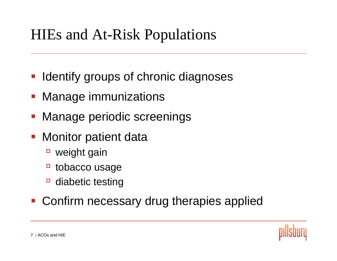# HIEs and At-Risk Populations

- Identify groups of chronic diagnoses
- Manage immunizations
- Manage periodic screenings
- **Monitor patient data** 
	- □ weight gain
	- àtobacco usage
	- àdiabetic testing

#### **• Confirm necessary drug therapies applied**

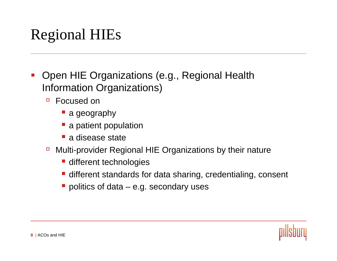# Regional HIEs

- $\mathcal{L}_{\mathcal{A}}$  Open HIE Organizations (e.g., Regional Health Information Organizations)
	- à Focused on
		- **a** geography
		- **•** a patient population
		- **a** disease state
	- à Multi-provider Regional HIE Organizations by their nature
		- **different technologies**
		- different standards for data sharing, credentialing, consent
		- politics of data e.g. secondary uses

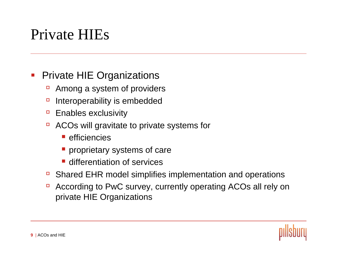## Private HIEs

#### $\mathcal{L}_{\mathcal{A}}$ Private HIE Organizations

- àAmong a system of providers
- àInteroperability is embedded
- àEnables exclusivity
- à ACOs will gravitate to private systems for
	- **E** efficiencies
	- **Peroprietary systems of care**
	- **differentiation of services**
- àShared EHR model simplifies implementation and operations
- à According to PwC survey, currently operating ACOs all rely on private HIE Organizations

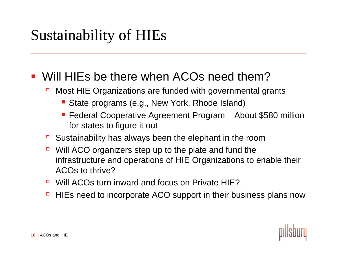# Sustainability of HIEs

#### Will HIEs be there when ACOs need them?

- à Most HIE Organizations are funded with governmental grants
	- **State programs (e.g., New York, Rhode Island)**
	- **Federal Cooperative Agreement Program About \$580 million** for states to figure it out
- àSustainability has always been the elephant in the room
- $\Box$  Will ACO organizers step up to the plate and fund the infrastructure and operations of HIE Organizations to enable their ACOs to thrive?
- à■ Will ACOs turn inward and focus on Private HIE?
- àHIEs need to incorporate ACO support in their business plans now